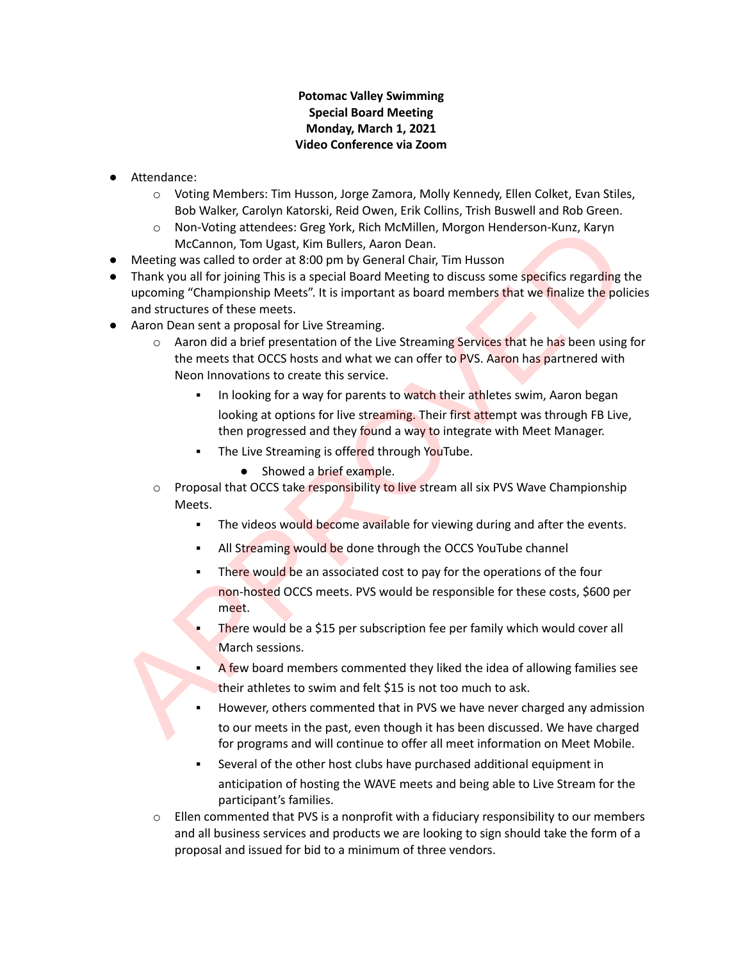## **Potomac Valley Swimming Special Board Meeting Monday, March 1, 2021 Video Conference via Zoom**

- Attendance:
	- o Voting Members: Tim Husson, Jorge Zamora, Molly Kennedy, Ellen Colket, Evan Stiles, Bob Walker, Carolyn Katorski, Reid Owen, Erik Collins, Trish Buswell and Rob Green.
	- o Non-Voting attendees: Greg York, Rich McMillen, Morgon Henderson-Kunz, Karyn McCannon, Tom Ugast, Kim Bullers, Aaron Dean.
- Meeting was called to order at 8:00 pm by General Chair, Tim Husson
- Thank you all for joining This is a special Board Meeting to discuss some specifics regarding the upcoming "Championship Meets". It is important as board members that we finalize the policies and structures of these meets. ON Morival attendees: Greg York, Rich McMillen, Morgon Henderson-Kunz, Karyn<br>
McCannon, Tom Ugast, Kim Bullers, Aaron Dean.<br>
• McCannon, Tom Ugast, Kim Bullers, Aaron Dean.<br>
• Thank you all for joining This is a special
- Aaron Dean sent a proposal for Live Streaming.
	- $\circ$  Aaron did a brief presentation of the Live Streaming Services that he has been using for the meets that OCCS hosts and what we can offer to PVS. Aaron has partnered with Neon Innovations to create this service.
		- In looking for a way for parents to watch their athletes swim, Aaron began looking at options for live streaming. Their first attempt was through FB Live, then progressed and they found a way to integrate with Meet Manager.
		- The Live Streaming is offered through YouTube.
			- Showed a brief example.
	- $\circ$  Proposal that OCCS take responsibility to live stream all six PVS Wave Championship Meets.
		- **.** The videos would become available for viewing during and after the events.
		- All Streaming would be done through the OCCS YouTube channel
		- There would be an associated cost to pay for the operations of the four non-hosted OCCS meets. PVS would be responsible for these costs, \$600 per meet.
		- **There would be a \$15 per subscription fee per family which would cover all** March sessions.
		- A few board members commented they liked the idea of allowing families see their athletes to swim and felt \$15 is not too much to ask.
		- However, others commented that in PVS we have never charged any admission to our meets in the past, even though it has been discussed. We have charged for programs and will continue to offer all meet information on Meet Mobile.
		- Several of the other host clubs have purchased additional equipment in anticipation of hosting the WAVE meets and being able to Live Stream for the participant's families.
	- $\circ$  Ellen commented that PVS is a nonprofit with a fiduciary responsibility to our members and all business services and products we are looking to sign should take the form of a proposal and issued for bid to a minimum of three vendors.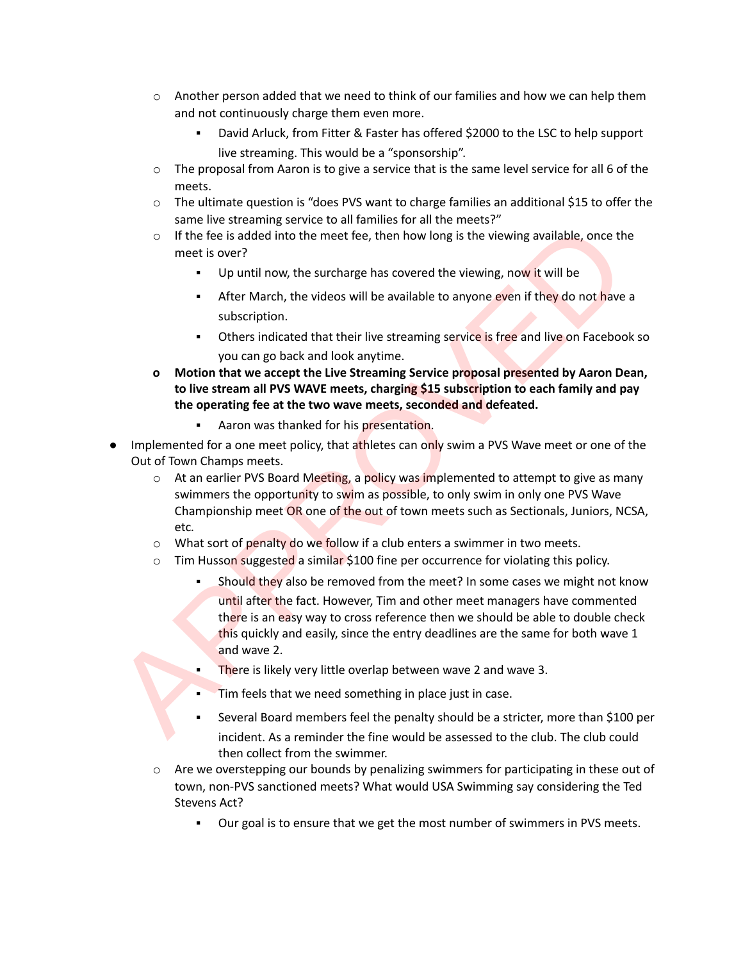- $\circ$  Another person added that we need to think of our families and how we can help them and not continuously charge them even more.
	- David Arluck, from Fitter & Faster has offered \$2000 to the LSC to help support live streaming. This would be a "sponsorship".
- $\circ$  The proposal from Aaron is to give a service that is the same level service for all 6 of the meets.
- o The ultimate question is "does PVS want to charge families an additional \$15 to offer the same live streaming service to all families for all the meets?"
- $\circ$  If the fee is added into the meet fee, then how long is the viewing available, once the meet is over?
	- Up until now, the surcharge has covered the viewing, now it will be
	- **EXECT** After March, the videos will be available to anyone even if they do not have a subscription.
	- **•** Others indicated that their live streaming service is free and live on Facebook so you can go back and look anytime.
- **o Motion that we accept the Live Streaming Service proposal presented by Aaron Dean, to live stream all PVS WAVE meets, charging \$15 subscription to each family and pay the operating fee at the two wave meets, seconded and defeated.**
	- Aaron was thanked for his presentation.
- Implemented for a one meet policy, that athletes can only swim a PVS Wave meet or one of the Out of Town Champs meets.
	- $\circ$  At an earlier PVS Board Meeting, a policy was implemented to attempt to give as many swimmers the opportunity to swim as possible, to only swim in only one PVS Wave Championship meet OR one of the out of town meets such as Sectionals, Juniors, NCSA, etc*.*
	- $\circ$  What sort of penalty do we follow if a club enters a swimmer in two meets.
	- $\circ$  Tim Husson suggested a similar \$100 fine per occurrence for violating this policy.
- Should they also be removed from the meet? In some cases we might not know until after the fact. However, Tim and other meet managers have commented there is an easy way to cross reference then we should be able to double check this quickly and easily, since the entry deadlines are the same for both wave 1 and wave 2. Some we seearally service valid manning service with the meeting.<br>
The free is added into the meet fee, then how long is the viewing available, once the<br>
The free is added into the meet fee, then how long is the viewing, n
	- There is likely very little overlap between wave 2 and wave 3.
	- Tim feels that we need something in place just in case.
	- Several Board members feel the penalty should be a stricter, more than \$100 per incident. As a reminder the fine would be assessed to the club. The club could then collect from the swimmer.
	- $\circ$  Are we overstepping our bounds by penalizing swimmers for participating in these out of town, non-PVS sanctioned meets? What would USA Swimming say considering the Ted Stevens Act?
		- Our goal is to ensure that we get the most number of swimmers in PVS meets.